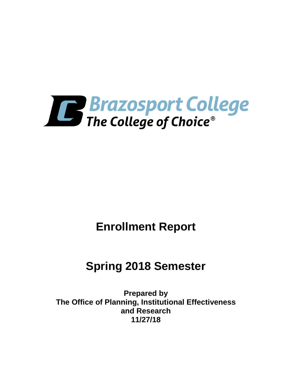

# **Enrollment Report**

# **Spring 2018 Semester**

**Prepared by The Office of Planning, Institutional Effectiveness and Research 11/27/18**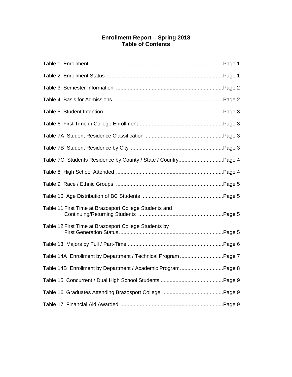# **Enrollment Report – Spring 2018 Table of Contents**

| Table 7C Students Residence by County / State / CountryPage 4 |  |
|---------------------------------------------------------------|--|
|                                                               |  |
|                                                               |  |
|                                                               |  |
| Table 11 First Time at Brazosport College Students and        |  |
| Table 12 First Time at Brazosport College Students by         |  |
|                                                               |  |
| Table 14A Enrollment by Department / Technical Program Page 7 |  |
| Table 14B Enrollment by Department / Academic ProgramPage 8   |  |
|                                                               |  |
|                                                               |  |
|                                                               |  |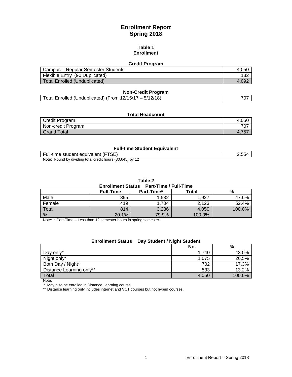# **Enrollment Report Spring 2018**

#### **Table 1 Enrollment**

# **Credit Program**

| Campus – Regular Semester Students | 4.05C |
|------------------------------------|-------|
| Flexible Entry (90 Duplicated)     |       |
| Total Enrolled (Unduplicated)      | 4.092 |

# **Non-Credit Program**

| Total Enrolled (Unduplicated) (From 12/15/17 – 5/12/18) |  |
|---------------------------------------------------------|--|
|---------------------------------------------------------|--|

#### **Total Headcount**

| Credit Program     | 4.050           |
|--------------------|-----------------|
| Non-credit Program | 707             |
| <b>Grand Total</b> | $-4.1$<br>ີ ບ້⊧ |

#### **Full-time Student Equivalent**

Full-time student equivalent (FTSE) 2,554 Note: Found by dividing total credit hours (30,645) by 12

| Table 2 |                                         |  |  |
|---------|-----------------------------------------|--|--|
|         | Enrollment Status Part-Time / Full-Time |  |  |

|        | <b>Full-Time</b> | Part-Time* | Total  | %      |
|--------|------------------|------------|--------|--------|
| Male   | 395              | .532       | 1.927  | 47.6%  |
| Female | 419              | ,704       | 2,123  | 52.4%  |
| Total  | 814              | 3,236      | 4.050  | 100.0% |
| %      | 20.1%            | 79.9%      | 100.0% |        |

Note: \* Part-Time – Less than 12 semester hours in spring semester.

# **Enrollment Status Day Student / Night Student**

|                          | No.   | %      |
|--------------------------|-------|--------|
| Day only*                | 1.740 | 43.0%  |
| Night only*              | 1,075 | 26.5%  |
| Both Day / Night*        | 702   | 17.3%  |
| Distance Learning only** | 533   | 13.2%  |
| <b>Total</b>             | 4,050 | 100.0% |

Note:

\* May also be enrolled in Distance Learning course

\*\* Distance learning only includes internet and VCT courses but not hybrid courses.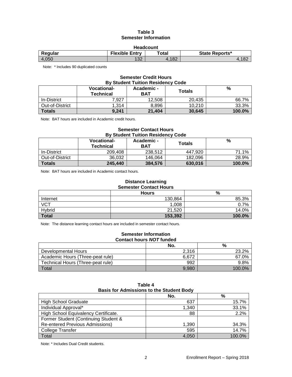## **Table 3 Semester Information**

| <b>Headcount</b> |                       |       |                |
|------------------|-----------------------|-------|----------------|
| Regular          | <b>Flexible Entry</b> | Total | State Reports* |
| 4.050            | 122<br>∣J∠            | .182  | 1.182          |

Note: \* Includes 90 duplicated counts

# **Semester Credit Hours By Student Tuition Residency Code**

|                 | <b>Vocational-</b><br><b>Technical</b> | Academic -<br><b>BAT</b> | <b>Totals</b> | %      |
|-----------------|----------------------------------------|--------------------------|---------------|--------|
| In-District     | 7.927                                  | 12.508                   | 20.435        | 66.7%  |
| Out-of-District | 1.314                                  | 8.896                    | 10.210        | 33.3%  |
| <b>Totals</b>   | 9,241                                  | 21,404                   | 30,645        | 100.0% |

Note: BAT hours are included in Academic credit hours.

## **Semester Contact Hours By Student Tuition Residency Code**

|                 | <b>Vocational-</b><br><b>Technical</b> | Academic -<br><b>BAT</b> | Totals  | %         |
|-----------------|----------------------------------------|--------------------------|---------|-----------|
| In-District     | 209.408                                | 238.512                  | 447.920 | 71.1%     |
| Out-of-District | 36.032                                 | 146.064                  | 182.096 | 28.9%     |
| <b>Totals</b>   | 245,440                                | 384,576                  | 630,016 | $100.0\%$ |

Note: BAT hours are included in Academic contact hours.

# **Distance Learning Semester Contact Hours**

|              | <b>Hours</b> | %      |
|--------------|--------------|--------|
| Internet     | 130,864      | 85.3%  |
| <b>VCT</b>   | 1,008        | 0.7%   |
| Hybrid       | 21,520       | 14.0%  |
| <b>Total</b> | 153,392      | 100.0% |

Note: The distance learning contact hours are included in semester contact hours.

#### **Semester Information Contact hours** *NOT* **funded**

|                                   | No.   | %      |
|-----------------------------------|-------|--------|
| Developmental Hours               | 2.316 | 23.2%  |
| Academic Hours (Three-peat rule)  | 6.672 | 67.0%  |
| Technical Hours (Three-peat rule) | 992   | 9.8%   |
| Total                             | 9.980 | 100.0% |

| <b>Basis for Admissions to the Student Body</b> |       |        |  |
|-------------------------------------------------|-------|--------|--|
|                                                 | No.   | $\%$   |  |
| <b>High School Graduate</b>                     | 637   | 15.7%  |  |
| Individual Approval*                            | 1,340 | 33.1%  |  |
| High School Equivalency Certificate.            | 88    | 2.2%   |  |
| Former Student (Continuing Student &            |       |        |  |
| <b>Re-entered Previous Admissions)</b>          | 1,390 | 34.3%  |  |
| <b>College Transfer</b>                         | 595   | 14.7%  |  |
| Total                                           | 4.050 | 100.0% |  |

**Table 4**

Note: \* Includes Dual Credit students.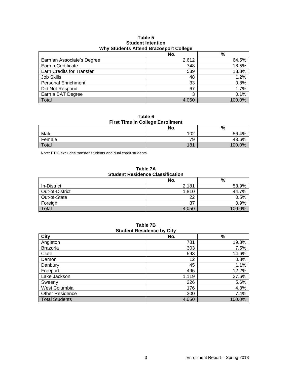#### **Table 5 Student Intention Why Students Attend Brazosport College**

|                                  | . .   |        |
|----------------------------------|-------|--------|
|                                  | No.   | $\%$   |
| Earn an Associate's Degree       | 2,612 | 64.5%  |
| Earn a Certificate               | 748   | 18.5%  |
| <b>Earn Credits for Transfer</b> | 539   | 13.3%  |
| Job Skills                       | 48    | 1.2%   |
| <b>Personal Enrichment</b>       | 33    | 0.8%   |
| Did Not Respond                  | 67    | 1.7%   |
| Earn a BAT Degree                | 3     | 0.1%   |
| Total                            | 4,050 | 100.0% |

**Table 6 First Time in College Enrollment**

|        | . . |        |
|--------|-----|--------|
|        | No. | %      |
| Male   | 102 | 56.4%  |
| Female | 79  | 43.6%  |
| Total  | 181 | 100.0% |

Note: FTIC excludes transfer students and dual credit students.

## **Table 7A Student Residence Classification**

|                 | No.   | %       |  |
|-----------------|-------|---------|--|
| In-District     | 2,181 | 53.9%   |  |
| Out-of-District | 1,810 | 44.7%   |  |
| Out-of-State    | 22    | 0.5%    |  |
| Foreign         | 37    | $0.9\%$ |  |
| Total           | 4,050 | 100.0%  |  |

#### **Table 7B Student Residence by City**

| <b>City</b>            | - -<br>No. | %      |
|------------------------|------------|--------|
| Angleton               | 781        | 19.3%  |
| <b>Brazoria</b>        | 303        | 7.5%   |
| Clute                  | 593        | 14.6%  |
| Damon                  | 12         | 0.3%   |
| Danbury                | 45         | 1.1%   |
| Freeport               | 495        | 12.2%  |
| Lake Jackson           | 1,119      | 27.6%  |
| Sweeny                 | 226        | 5.6%   |
| West Columbia          | 176        | 4.3%   |
| <b>Other Residence</b> | 300        | 7.4%   |
| <b>Total Students</b>  | 4,050      | 100.0% |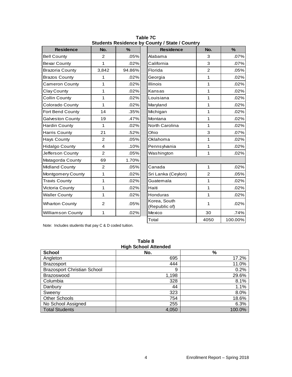| <b>Residence</b>         | No.            | $\frac{9}{6}$ | <b>Residence</b>                   | No.            | $\frac{9}{6}$ |
|--------------------------|----------------|---------------|------------------------------------|----------------|---------------|
| <b>Bell County</b>       | 2              | .05%          | Alabama                            | 3              | .07%          |
| <b>Bexar County</b>      | $\mathbf{1}$   | .02%          | California                         | 3              | .07%          |
| <b>Brazoria County</b>   | 3,842          | 94.86%        | Florida                            | $\overline{2}$ | .05%          |
| <b>Brazos County</b>     | 1              | .02%          | Georgia                            | $\mathbf{1}$   | .02%          |
| <b>Cameron County</b>    | 1              | .02%          | <b>Illinois</b>                    | 1              | .02%          |
| Clay County              | 1              | .02%          | Kansas                             | 1              | .02%          |
| <b>Collin County</b>     | 1              | .02%          | Louisiana                          | $\mathbf{1}$   | .02%          |
| Colorado County          | 1              | .02%          | Maryland                           | $\mathbf{1}$   | .02%          |
| Fort Bend County         | 14             | .35%          | Michigan                           | 1              | .02%          |
| <b>Galveston County</b>  | 19             | .47%          | Montana                            | 1              | .02%          |
| <b>Hardin County</b>     | 1              | .02%          | North Carolina                     | 1              | .02%          |
| <b>Harris County</b>     | 21             | .52%          | Ohio                               | 3              | .07%          |
| <b>Hays County</b>       | $\overline{2}$ | .05%          | 1<br>Oklahoma                      |                | .02%          |
| <b>Hidalgo County</b>    | 4              | .10%          | $\mathbf{1}$<br>Pennsylvania       |                | .02%          |
| Jefferson County         | $\overline{2}$ | .05%          | Washington<br>$\mathbf{1}$         |                | .02%          |
| Matagorda County         | 69             | 1.70%         |                                    |                |               |
| <b>Midland County</b>    | $\overline{2}$ | .05%          | Canada                             | $\mathbf{1}$   | .02%          |
| Montgomery County        | 1              | .02%          | Sri Lanka (Ceylon)                 | $\overline{2}$ | .05%          |
| <b>Travis County</b>     | 1              | .02%          | Guatemala                          | $\mathbf{1}$   | .02%          |
| Victoria County          | 1              | .02%          | $\mathbf{1}$<br>Haiti              |                | .02%          |
| <b>Waller County</b>     | 1              | .02%          | $\mathbf{1}$<br>Honduras           |                | .02%          |
| <b>Wharton County</b>    | $\overline{2}$ | .05%          | Korea, South<br>1<br>(Republic of) |                | .02%          |
| <b>Williamson County</b> | 1              | .02%          | Mexico                             | 30             | .74%          |
|                          |                |               | Total                              | 4050           | 100.00%       |

**Table 7C Students Residence by County / State / Country**

Note: Includes students that pay C & D coded tuition.

| <b>High School Attended</b>        |       |        |  |
|------------------------------------|-------|--------|--|
| <b>School</b>                      | No.   | %      |  |
| Angleton                           | 695   | 17.2%  |  |
| <b>Brazosport</b>                  | 444   | 11.0%  |  |
| <b>Brazosport Christian School</b> | 9     | 0.2%   |  |
| Brazoswood                         | 1,198 | 29.6%  |  |
| Columbia                           | 328   | 8.1%   |  |
| Danbury                            | 44    | 1.1%   |  |
| Sweeny                             | 323   | 8.0%   |  |
| <b>Other Schools</b>               | 754   | 18.6%  |  |
| No School Assigned                 | 255   | 6.3%   |  |
| <b>Total Students</b>              | 4,050 | 100.0% |  |

**Table 8**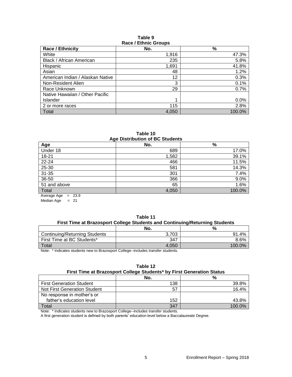#### **Table 9 Race / Ethnic Groups**

| <b>NAVE / EUTING UIUUDS</b>      |       |        |  |  |
|----------------------------------|-------|--------|--|--|
| <b>Race / Ethnicity</b>          | No.   | %      |  |  |
| White                            | 1,916 | 47.3%  |  |  |
| Black / African American         | 235   | 5.8%   |  |  |
| Hispanic                         | 1,691 | 41.8%  |  |  |
| Asian                            | 48    | 1.2%   |  |  |
| American Indian / Alaskan Native | 12    | 0.3%   |  |  |
| Non-Resident Alien               | 3     | 0.1%   |  |  |
| Race Unknown                     | 29    | 0.7%   |  |  |
| Native Hawaiian / Other Pacific  |       |        |  |  |
| Islander                         | 1     | 0.0%   |  |  |
| 2 or more races                  | 115   | 2.8%   |  |  |
| Total                            | 4,050 | 100.0% |  |  |

#### **Table 10 Age Distribution of BC Students**

| <b>Age Distribution of Do Otagonts</b>       |       |        |  |
|----------------------------------------------|-------|--------|--|
| Age                                          | No.   | %      |  |
| Under 18                                     | 689   | 17.0%  |  |
| $18 - 21$                                    | 1,582 | 39.1%  |  |
| 22-24                                        | 466   | 11.5%  |  |
| 25-30                                        | 581   | 14.3%  |  |
| $31 - 35$                                    | 301   | 7.4%   |  |
| 36-50                                        | 366   | 9.0%   |  |
| 51 and above                                 | 65    | 1.6%   |  |
| Total                                        | 4,050 | 100.0% |  |
| $\sim$ $\sim$ $\sim$ $\sim$<br>$\sim$ $\sim$ |       |        |  |

Average Age = 23.9 Median  $Age = 21$ 

| Table 11<br>First Time at Brazosport College Students and Continuing/Returning Students |       |       |
|-----------------------------------------------------------------------------------------|-------|-------|
|                                                                                         | No.   | %     |
| <b>Continuing/Returning Students</b>                                                    | 3.703 | 91.4% |
| First Time at BC Students*                                                              | 347   | 8.6%  |

Note: \* Indicates students new to Brazosport College--includes transfer students.

#### **Table 12 First Time at Brazosport College Students\* by First Generation Status**

Total  $100.0\%$ 

|                                     | No. | %      |
|-------------------------------------|-----|--------|
| <b>First Generation Student</b>     | 138 | 39.8%  |
| <b>Not First Generation Student</b> | 57  | 16.4%  |
| No response in mother's or          |     |        |
| father's education level            | 152 | 43.8%  |
| Total                               | 347 | 100.0% |

Note: \* Indicates students new to Brazosport College--includes transfer students.

A first generation student is defined by both parents' education level below a Baccalaureate Degree.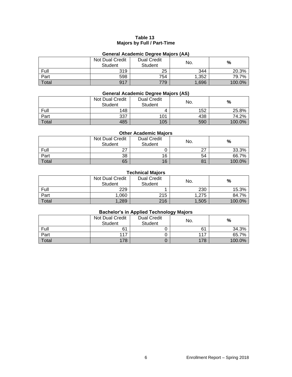# **Table 13 Majors by Full / Part-Time**

# **General Academic Degree Majors (AA)**

|              | Not Dual Credit<br>Student | <b>Dual Credit</b><br><b>Student</b> | No.   | %      |
|--------------|----------------------------|--------------------------------------|-------|--------|
| Full         | 319                        | 25                                   | 344   | 20.3%  |
| Part         | 598                        | 754                                  | 1.352 | 79.7%  |
| <b>Total</b> | 917                        | 779                                  | 1,696 | 100.0% |

# **General Academic Degree Majors (AS)**

|       | Not Dual Credit<br><b>Student</b> | <b>Dual Credit</b><br><b>Student</b> | No. | %      |
|-------|-----------------------------------|--------------------------------------|-----|--------|
| Full  | 148                               |                                      | 152 | 25.8%  |
| Part  | 337                               | 101                                  | 438 | 74.2%  |
| Total | 485                               | 105                                  | 590 | 100.0% |

# **Other Academic Majors**

|       | Not Dual Credit<br><b>Student</b> | <b>Dual Credit</b><br>Student | No.        | %      |
|-------|-----------------------------------|-------------------------------|------------|--------|
| Full  | 27<br>ا ہے                        |                               | 27<br>ا ہے | 33.3%  |
| Part  | 38                                | 16                            | 54         | 66.7%  |
| Total | 65                                | 16                            | 81         | 100.0% |

# **Technical Majors**

|       | Not Dual Credit<br><b>Student</b> | <b>Dual Credit</b><br><b>Student</b> | No.   | %      |
|-------|-----------------------------------|--------------------------------------|-------|--------|
| Full  | 229                               |                                      | 230   | 15.3%  |
| Part  | 1,060                             | 215                                  | 1.275 | 84.7%  |
| Total | 1,289                             | 216                                  | 1,505 | 100.0% |

# **Bachelor's in Applied Technology Majors**

|              | Not Dual Credit<br><b>Student</b> | <b>Dual Credit</b><br><b>Student</b> | . .<br>No. | %      |
|--------------|-----------------------------------|--------------------------------------|------------|--------|
| Full         | 61                                |                                      | 61         | 34.3%  |
| Part         | 117                               |                                      | 117        | 65.7%  |
| <b>Total</b> | 178                               |                                      | 178        | 100.0% |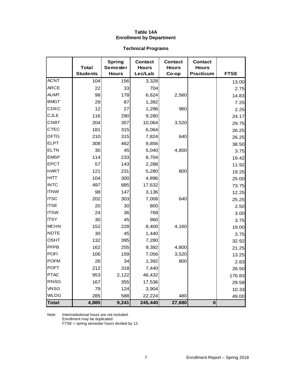# **Table 14A Enrollment by Department**

# **Technical Programs**

|              | <b>Total</b><br><b>Students</b> | <b>Spring</b><br><b>Semester</b><br><b>Hours</b> | <b>Contact</b><br><b>Hours</b><br>Lec/Lab | <b>Contact</b><br><b>Hours</b><br>Co-op | <b>Contact</b><br><b>Hours</b><br><b>Practicum</b> | <b>FTSE</b>    |
|--------------|---------------------------------|--------------------------------------------------|-------------------------------------------|-----------------------------------------|----------------------------------------------------|----------------|
| <b>ACNT</b>  | 104                             | 156                                              | 3,328                                     |                                         |                                                    |                |
| <b>ARCE</b>  | 22                              | 33                                               | 704                                       |                                         |                                                    | 13.00          |
| <b>AUMT</b>  | 98                              | 178                                              | 6,624                                     | 2,560                                   |                                                    | 2.75           |
| <b>BMGT</b>  | 29                              | 87                                               | 1,392                                     |                                         |                                                    | 14.83          |
| CDEC         | 12                              | 27                                               | 1,296                                     | 960                                     |                                                    | 7.25           |
| <b>CJLE</b>  | 116                             | 290                                              | 9,280                                     |                                         |                                                    | 2.25           |
| <b>CNBT</b>  | 204                             | 357                                              | 10,064                                    | 3,520                                   |                                                    | 24.17<br>29.75 |
| <b>CTEC</b>  | 181                             | 315                                              | 6,064                                     |                                         |                                                    | 26.25          |
| <b>DFTG</b>  | 210                             | 315                                              | 7,824                                     | 640                                     |                                                    | 26.25          |
| <b>ELPT</b>  | 308                             | 462                                              | 9,856                                     |                                         |                                                    | 38.50          |
| <b>ELTN</b>  | 30                              | 45                                               | 5,040                                     | 4,800                                   |                                                    | 3.75           |
| <b>EMSP</b>  | 114                             | 233                                              | 8,704                                     |                                         |                                                    | 19.42          |
| <b>EPCT</b>  | 57                              | 143                                              | 2,288                                     |                                         |                                                    | 11.92          |
| <b>HART</b>  | 121                             | 231                                              | 5,280                                     | 800                                     |                                                    | 19.25          |
| <b>HITT</b>  | 104                             | 300                                              | 4,896                                     |                                         |                                                    | 25.00          |
| <b>INTC</b>  | 497                             | 885                                              | 17,632                                    |                                         |                                                    | 73.75          |
| <b>ITNW</b>  | 98                              | 147                                              | 3,136                                     |                                         |                                                    | 12.25          |
| <b>ITSC</b>  | 202                             | 303                                              | 7,008                                     | 640                                     |                                                    | 25.25          |
| <b>ITSE</b>  | 20                              | 30                                               | 800                                       |                                         |                                                    | 2.50           |
| <b>ITSW</b>  | 24                              | 36                                               | 768                                       |                                         |                                                    | 3.00           |
| <b>ITSY</b>  | 30                              | 45                                               | 960                                       |                                         |                                                    | 3.75           |
| <b>MCHN</b>  | 152                             | 228                                              | 8,400                                     | 4,160                                   |                                                    | 19.00          |
| <b>NDTE</b>  | 30                              | 45                                               | 1,440                                     |                                         |                                                    | 3.75           |
| <b>OSHT</b>  | 132                             | 395                                              | 7,280                                     |                                         |                                                    | 32.92          |
| <b>PFPB</b>  | 162                             | 255                                              | 9,392                                     | 4,800                                   |                                                    | 21.25          |
| <b>POFI</b>  | 106                             | 159                                              | 7,056                                     | 3,520                                   |                                                    | 13.25          |
| <b>POFM</b>  | 26                              | 34                                               | 1,392                                     | 800                                     |                                                    | 2.83           |
| <b>POFT</b>  | 212                             | 318                                              | 7,440                                     |                                         |                                                    | 26.50          |
| <b>PTAC</b>  | 953                             | 2,122                                            | 46,432                                    |                                         |                                                    | 176.83         |
| <b>RNSG</b>  | 167                             | 355                                              | 17,536                                    |                                         |                                                    | 29.58          |
| <b>VNSG</b>  | 79                              | 124                                              | 3,904                                     |                                         |                                                    | 10.33          |
| <b>WLDG</b>  | 285                             | 588                                              | 22,224                                    | 480                                     |                                                    | 49.00          |
| <b>Total</b> | 4,885                           | 9,241                                            | 245,440                                   | 27,680                                  | $\bf{0}$                                           |                |

Note: Interinstitutional hours are not included.

Enrollment may be duplicated.

FTSE = spring semester hours divided by 12.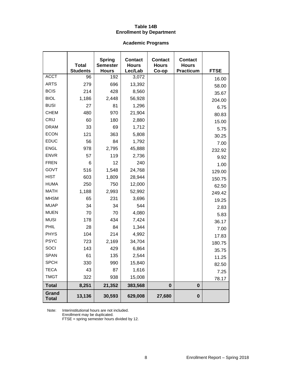# **Table 14B Enrollment by Department**

# **Academic Programs**

|                       | <b>Total</b><br><b>Students</b> | <b>Spring</b><br><b>Semester</b><br><b>Hours</b> | <b>Contact</b><br><b>Hours</b><br>Lec/Lab | <b>Contact</b><br><b>Hours</b><br>Co-op | <b>Contact</b><br><b>Hours</b><br><b>Practicum</b> | <b>FTSE</b> |
|-----------------------|---------------------------------|--------------------------------------------------|-------------------------------------------|-----------------------------------------|----------------------------------------------------|-------------|
| <b>ACCT</b>           | 96                              | 192                                              | 3,072                                     |                                         |                                                    | 16.00       |
| <b>ARTS</b>           | 279                             | 696                                              | 13,392                                    |                                         |                                                    | 58.00       |
| <b>BCIS</b>           | 214                             | 428                                              | 8,560                                     |                                         |                                                    | 35.67       |
| <b>BIOL</b>           | 1,186                           | 2,448                                            | 56,928                                    |                                         |                                                    | 204.00      |
| <b>BUSI</b>           | 27                              | 81                                               | 1,296                                     |                                         |                                                    | 6.75        |
| <b>CHEM</b>           | 480                             | 970                                              | 21,904                                    |                                         |                                                    | 80.83       |
| <b>CRIJ</b>           | 60                              | 180                                              | 2,880                                     |                                         |                                                    | 15.00       |
| <b>DRAM</b>           | 33                              | 69                                               | 1,712                                     |                                         |                                                    | 5.75        |
| <b>ECON</b>           | 121                             | 363                                              | 5,808                                     |                                         |                                                    | 30.25       |
| <b>EDUC</b>           | 56                              | 84                                               | 1,792                                     |                                         |                                                    | 7.00        |
| <b>ENGL</b>           | 978                             | 2,795                                            | 45,888                                    |                                         |                                                    | 232.92      |
| <b>ENVR</b>           | 57                              | 119                                              | 2,736                                     |                                         |                                                    | 9.92        |
| <b>FREN</b>           | 6                               | 12                                               | 240                                       |                                         |                                                    | 1.00        |
| GOVT                  | 516                             | 1,548                                            | 24,768                                    |                                         |                                                    | 129.00      |
| <b>HIST</b>           | 603                             | 1,809                                            | 28,944                                    |                                         |                                                    | 150.75      |
| <b>HUMA</b>           | 250                             | 750                                              | 12,000                                    |                                         |                                                    | 62.50       |
| <b>MATH</b>           | 1,188                           | 2,993                                            | 52,992                                    |                                         |                                                    | 249.42      |
| <b>MHSM</b>           | 65                              | 231                                              | 3,696                                     |                                         |                                                    | 19.25       |
| <b>MUAP</b>           | 34                              | 34                                               | 544                                       |                                         |                                                    | 2.83        |
| <b>MUEN</b>           | 70                              | 70                                               | 4,080                                     |                                         |                                                    | 5.83        |
| <b>MUSI</b>           | 178                             | 434                                              | 7,424                                     |                                         |                                                    | 36.17       |
| PHIL                  | 28                              | 84                                               | 1,344                                     |                                         |                                                    | 7.00        |
| <b>PHYS</b>           | 104                             | 214                                              | 4,992                                     |                                         |                                                    | 17.83       |
| <b>PSYC</b>           | 723                             | 2,169                                            | 34,704                                    |                                         |                                                    | 180.75      |
| SOCI                  | 143                             | 429                                              | 6,864                                     |                                         |                                                    | 35.75       |
| <b>SPAN</b>           | 61                              | 135                                              | 2,544                                     |                                         |                                                    | 11.25       |
| <b>SPCH</b>           | 330                             | 990                                              | 15,840                                    |                                         |                                                    | 82.50       |
| <b>TECA</b>           | 43                              | 87                                               | 1,616                                     |                                         |                                                    | 7.25        |
| <b>TMGT</b>           | 322                             | 938                                              | 15,008                                    |                                         |                                                    | 78.17       |
| <b>Total</b>          | 8,251                           | 21,352                                           | 383,568                                   | $\bf{0}$                                | $\bf{0}$                                           |             |
| Grand<br><b>Total</b> | 13,136                          | 30,593                                           | 629,008                                   | 27,680                                  | $\pmb{0}$                                          |             |

Note: Interinstitutional hours are not included.

Enrollment may be duplicated.

FTSE = spring semester hours divided by 12.